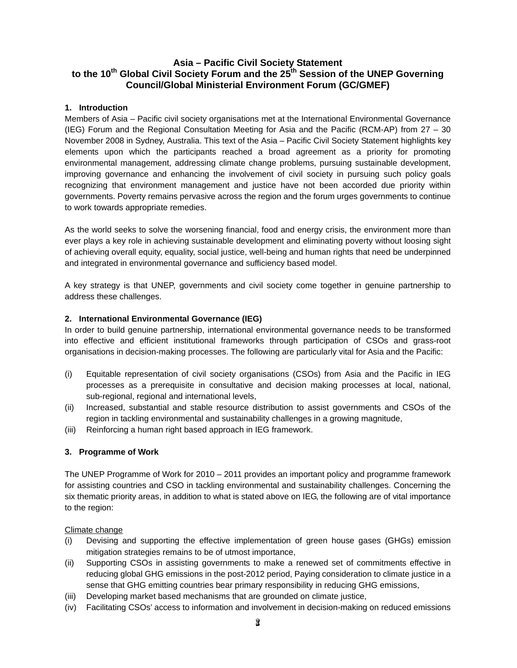# **Asia – Pacific Civil Society Statement**  to the 10<sup>th</sup> Global Civil Society Forum and the 25<sup>th</sup> Session of the UNEP Governing **Council/Global Ministerial Environment Forum (GC/GMEF)**

## **1. Introduction**

Members of Asia – Pacific civil society organisations met at the International Environmental Governance (IEG) Forum and the Regional Consultation Meeting for Asia and the Pacific (RCM-AP) from 27 – 30 November 2008 in Sydney, Australia. This text of the Asia – Pacific Civil Society Statement highlights key elements upon which the participants reached a broad agreement as a priority for promoting environmental management, addressing climate change problems, pursuing sustainable development, improving governance and enhancing the involvement of civil society in pursuing such policy goals recognizing that environment management and justice have not been accorded due priority within governments. Poverty remains pervasive across the region and the forum urges governments to continue to work towards appropriate remedies.

As the world seeks to solve the worsening financial, food and energy crisis, the environment more than ever plays a key role in achieving sustainable development and eliminating poverty without loosing sight of achieving overall equity, equality, social justice, well-being and human rights that need be underpinned and integrated in environmental governance and sufficiency based model.

A key strategy is that UNEP, governments and civil society come together in genuine partnership to address these challenges.

## **2. International Environmental Governance (IEG)**

In order to build genuine partnership, international environmental governance needs to be transformed into effective and efficient institutional frameworks through participation of CSOs and grass-root organisations in decision-making processes. The following are particularly vital for Asia and the Pacific:

- (i) Equitable representation of civil society organisations (CSOs) from Asia and the Pacific in IEG processes as a prerequisite in consultative and decision making processes at local, national, sub-regional, regional and international levels,
- (ii) Increased, substantial and stable resource distribution to assist governments and CSOs of the region in tackling environmental and sustainability challenges in a growing magnitude,
- (iii) Reinforcing a human right based approach in IEG framework.

## **3. Programme of Work**

The UNEP Programme of Work for 2010 – 2011 provides an important policy and programme framework for assisting countries and CSO in tackling environmental and sustainability challenges. Concerning the six thematic priority areas, in addition to what is stated above on IEG, the following are of vital importance to the region:

#### Climate change

- (i) Devising and supporting the effective implementation of green house gases (GHGs) emission mitigation strategies remains to be of utmost importance,
- (ii) Supporting CSOs in assisting governments to make a renewed set of commitments effective in reducing global GHG emissions in the post-2012 period, Paying consideration to climate justice in a sense that GHG emitting countries bear primary responsibility in reducing GHG emissions,
- (iii) Developing market based mechanisms that are grounded on climate justice,
- (iv) Facilitating CSOs' access to information and involvement in decision-making on reduced emissions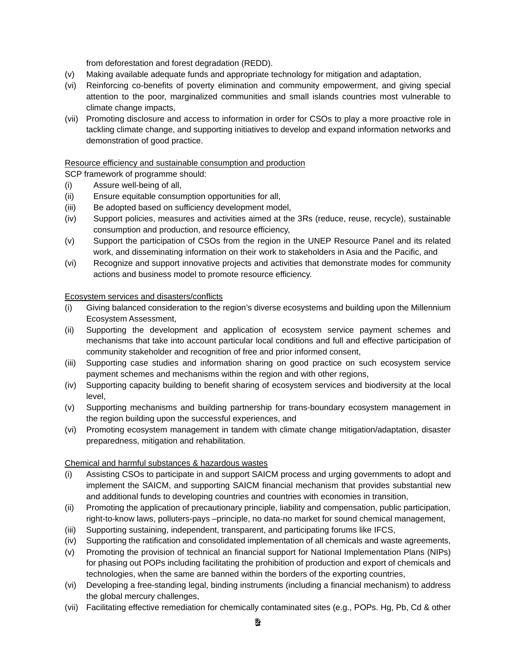from deforestation and forest degradation (REDD).

- (v) Making available adequate funds and appropriate technology for mitigation and adaptation,
- (vi) Reinforcing co-benefits of poverty elimination and community empowerment, and giving special attention to the poor, marginalized communities and small islands countries most vulnerable to climate change impacts,
- (vii) Promoting disclosure and access to information in order for CSOs to play a more proactive role in tackling climate change, and supporting initiatives to develop and expand information networks and demonstration of good practice.

## Resource efficiency and sustainable consumption and production

SCP framework of programme should:

- (i) Assure well-being of all,
- (ii) Ensure equitable consumption opportunities for all,
- (iii) Be adopted based on sufficiency development model,
- (iv) Support policies, measures and activities aimed at the 3Rs (reduce, reuse, recycle), sustainable consumption and production, and resource efficiency,
- (v) Support the participation of CSOs from the region in the UNEP Resource Panel and its related work, and disseminating information on their work to stakeholders in Asia and the Pacific, and
- (vi) Recognize and support innovative projects and activities that demonstrate modes for community actions and business model to promote resource efficiency.

#### Ecosystem services and disasters/conflicts

- (i) Giving balanced consideration to the region's diverse ecosystems and building upon the Millennium Ecosystem Assessment,
- (ii) Supporting the development and application of ecosystem service payment schemes and mechanisms that take into account particular local conditions and full and effective participation of community stakeholder and recognition of free and prior informed consent,
- (iii) Supporting case studies and information sharing on good practice on such ecosystem service payment schemes and mechanisms within the region and with other regions,
- (iv) Supporting capacity building to benefit sharing of ecosystem services and biodiversity at the local level,
- (v) Supporting mechanisms and building partnership for trans-boundary ecosystem management in the region building upon the successful experiences, and
- (vi) Promoting ecosystem management in tandem with climate change mitigation/adaptation, disaster preparedness, mitigation and rehabilitation.

#### Chemical and harmful substances & hazardous wastes

- (i) Assisting CSOs to participate in and support SAICM process and urging governments to adopt and implement the SAICM, and supporting SAICM financial mechanism that provides substantial new and additional funds to developing countries and countries with economies in transition,
- (ii) Promoting the application of precautionary principle, liability and compensation, public participation, right-to-know laws, polluters-pays –principle, no data-no market for sound chemical management,
- (iii) Supporting sustaining, independent, transparent, and participating forums like IFCS,
- (iv) Supporting the ratification and consolidated implementation of all chemicals and waste agreements,
- (v) Promoting the provision of technical an financial support for National Implementation Plans (NIPs) for phasing out POPs including facilitating the prohibition of production and export of chemicals and technologies, when the same are banned within the borders of the exporting countries,
- (vi) Developing a free-standing legal, binding instruments (including a financial mechanism) to address the global mercury challenges,
- (vii) Facilitating effective remediation for chemically contaminated sites (e.g., POPs. Hg, Pb, Cd & other